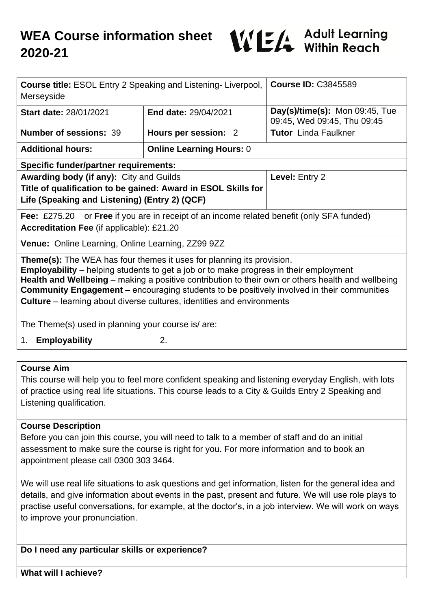

| <b>Course title: ESOL Entry 2 Speaking and Listening- Liverpool,</b><br>Merseyside                                                                                                                                                                                                                                                                                                     |                                 | <b>Course ID: C3845589</b>                                    |
|----------------------------------------------------------------------------------------------------------------------------------------------------------------------------------------------------------------------------------------------------------------------------------------------------------------------------------------------------------------------------------------|---------------------------------|---------------------------------------------------------------|
| Start date: 28/01/2021                                                                                                                                                                                                                                                                                                                                                                 | End date: 29/04/2021            | Day(s)/time(s): Mon 09:45, Tue<br>09:45, Wed 09:45, Thu 09:45 |
| <b>Number of sessions: 39</b>                                                                                                                                                                                                                                                                                                                                                          | Hours per session: 2            | <b>Tutor</b> Linda Faulkner                                   |
| <b>Additional hours:</b>                                                                                                                                                                                                                                                                                                                                                               | <b>Online Learning Hours: 0</b> |                                                               |
| <b>Specific funder/partner requirements:</b>                                                                                                                                                                                                                                                                                                                                           |                                 |                                                               |
| Awarding body (if any): City and Guilds                                                                                                                                                                                                                                                                                                                                                |                                 | Level: Entry 2                                                |
| Title of qualification to be gained: Award in ESOL Skills for                                                                                                                                                                                                                                                                                                                          |                                 |                                                               |
| Life (Speaking and Listening) (Entry 2) (QCF)                                                                                                                                                                                                                                                                                                                                          |                                 |                                                               |
| or Free if you are in receipt of an income related benefit (only SFA funded)<br>Fee: $£275.20$                                                                                                                                                                                                                                                                                         |                                 |                                                               |
| Accreditation Fee (if applicable): £21.20                                                                                                                                                                                                                                                                                                                                              |                                 |                                                               |
| Venue: Online Learning, Online Learning, ZZ99 9ZZ                                                                                                                                                                                                                                                                                                                                      |                                 |                                                               |
| <b>Theme(s):</b> The WEA has four themes it uses for planning its provision.<br><b>Employability</b> – helping students to get a job or to make progress in their employment<br>Health and Wellbeing - making a positive contribution to their own or others health and wellbeing<br><b>Community Engagement</b> – encouraging students to be positively involved in their communities |                                 |                                                               |
| <b>Culture</b> – learning about diverse cultures, identities and environments                                                                                                                                                                                                                                                                                                          |                                 |                                                               |
| The Theme(s) used in planning your course is/ are:                                                                                                                                                                                                                                                                                                                                     |                                 |                                                               |
| 1. Employability                                                                                                                                                                                                                                                                                                                                                                       | 2.                              |                                                               |
|                                                                                                                                                                                                                                                                                                                                                                                        |                                 |                                                               |
| <b>Course Aim</b>                                                                                                                                                                                                                                                                                                                                                                      |                                 |                                                               |
| This course will help you to feel more confident speaking and listening everyday English, with lots                                                                                                                                                                                                                                                                                    |                                 |                                                               |

This course will help you to feel more confident speaking and listening everyday English, with lots of practice using real life situations. This course leads to a City & Guilds Entry 2 Speaking and Listening qualification.

#### **Course Description**

Before you can join this course, you will need to talk to a member of staff and do an initial assessment to make sure the course is right for you. For more information and to book an appointment please call 0300 303 3464.

We will use real life situations to ask questions and get information, listen for the general idea and details, and give information about events in the past, present and future. We will use role plays to practise useful conversations, for example, at the doctor's, in a job interview. We will work on ways to improve your pronunciation.

**Do I need any particular skills or experience?**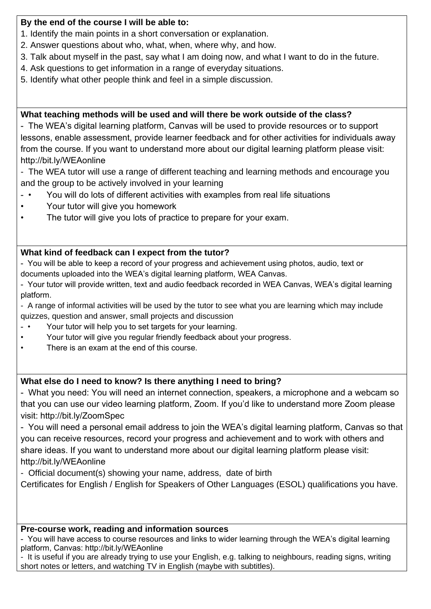### **By the end of the course I will be able to:**

- 1. Identify the main points in a short conversation or explanation.
- 2. Answer questions about who, what, when, where why, and how.
- 3. Talk about myself in the past, say what I am doing now, and what I want to do in the future.
- 4. Ask questions to get information in a range of everyday situations.
- 5. Identify what other people think and feel in a simple discussion.

# **What teaching methods will be used and will there be work outside of the class?**

- The WEA's digital learning platform, Canvas will be used to provide resources or to support lessons, enable assessment, provide learner feedback and for other activities for individuals away from the course. If you want to understand more about our digital learning platform please visit: http://bit.ly/WEAonline

- The WEA tutor will use a range of different teaching and learning methods and encourage you and the group to be actively involved in your learning

- You will do lots of different activities with examples from real life situations
- Your tutor will give you homework
- The tutor will give you lots of practice to prepare for your exam.

# **What kind of feedback can I expect from the tutor?**

- You will be able to keep a record of your progress and achievement using photos, audio, text or documents uploaded into the WEA's digital learning platform, WEA Canvas.

- Your tutor will provide written, text and audio feedback recorded in WEA Canvas, WEA's digital learning platform.

- A range of informal activities will be used by the tutor to see what you are learning which may include quizzes, question and answer, small projects and discussion

- • Your tutor will help you to set targets for your learning.
- Your tutor will give you regular friendly feedback about your progress.
- There is an exam at the end of this course.

## **What else do I need to know? Is there anything I need to bring?**

- What you need: You will need an internet connection, speakers, a microphone and a webcam so that you can use our video learning platform, Zoom. If you'd like to understand more Zoom please visit: http://bit.ly/ZoomSpec

- You will need a personal email address to join the WEA's digital learning platform, Canvas so that you can receive resources, record your progress and achievement and to work with others and share ideas. If you want to understand more about our digital learning platform please visit: http://bit.ly/WEAonline

- Official document(s) showing your name, address, date of birth

Certificates for English / English for Speakers of Other Languages (ESOL) qualifications you have.

## **Pre-course work, reading and information sources**

- You will have access to course resources and links to wider learning through the WEA's digital learning platform, Canvas: http://bit.ly/WEAonline

- It is useful if you are already trying to use your English, e.g. talking to neighbours, reading signs, writing short notes or letters, and watching TV in English (maybe with subtitles).